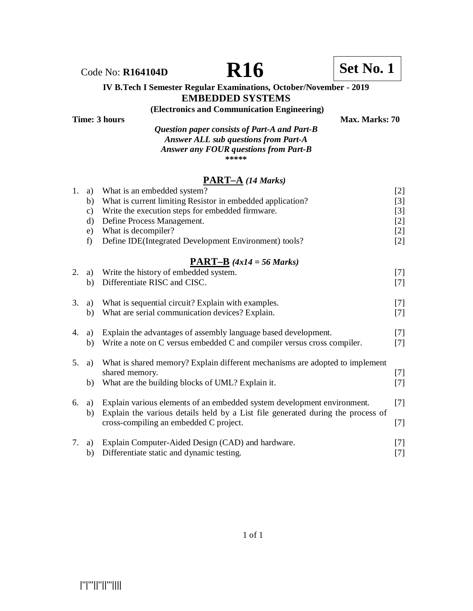# **IV B.Tech I Semester Regular Examinations, October/November - 2019**

## **EMBEDDED SYSTEMS**

#### **(Electronics and Communication Engineering) Time: 3 hours** Max. Marks: 70

*Question paper consists of Part-A and Part-B Answer ALL sub questions from Part-A Answer any FOUR questions from Part-B* **\*\*\*\*\***

### **PART–A** *(14 Marks)*

| What is current limiting Resistor in embedded application?<br>b)<br>Write the execution steps for embedded firmware.<br>$\mathbf{c})$<br>Define Process Management.<br>$\rm d)$<br>What is decompiler?<br>e)<br>Define IDE(Integrated Development Environment) tools?<br>f)<br><b>PART-B</b> $(4x14 = 56 \text{ Marks})$<br>Write the history of embedded system.<br>2.<br>a)<br>Differentiate RISC and CISC.<br>b)<br>What is sequential circuit? Explain with examples.<br>3.<br>a)<br>What are serial communication devices? Explain.<br>b)<br>Explain the advantages of assembly language based development.<br>4.<br>a)<br>Write a note on C versus embedded C and compiler versus cross compiler.<br>b)<br>What is shared memory? Explain different mechanisms are adopted to implement<br>5.<br>a)<br>shared memory.<br>What are the building blocks of UML? Explain it.<br>b)<br>Explain various elements of an embedded system development environment.<br>6.<br>a)<br>Explain the various details held by a List file generated during the process of<br>b)<br>cross-compiling an embedded C project.<br>7. | 1. | a) | What is an embedded system?                       | $[2]$ |
|-----------------------------------------------------------------------------------------------------------------------------------------------------------------------------------------------------------------------------------------------------------------------------------------------------------------------------------------------------------------------------------------------------------------------------------------------------------------------------------------------------------------------------------------------------------------------------------------------------------------------------------------------------------------------------------------------------------------------------------------------------------------------------------------------------------------------------------------------------------------------------------------------------------------------------------------------------------------------------------------------------------------------------------------------------------------------------------------------------------------------|----|----|---------------------------------------------------|-------|
|                                                                                                                                                                                                                                                                                                                                                                                                                                                                                                                                                                                                                                                                                                                                                                                                                                                                                                                                                                                                                                                                                                                       |    |    |                                                   | $[3]$ |
|                                                                                                                                                                                                                                                                                                                                                                                                                                                                                                                                                                                                                                                                                                                                                                                                                                                                                                                                                                                                                                                                                                                       |    |    |                                                   | $[3]$ |
|                                                                                                                                                                                                                                                                                                                                                                                                                                                                                                                                                                                                                                                                                                                                                                                                                                                                                                                                                                                                                                                                                                                       |    |    |                                                   | $[2]$ |
|                                                                                                                                                                                                                                                                                                                                                                                                                                                                                                                                                                                                                                                                                                                                                                                                                                                                                                                                                                                                                                                                                                                       |    |    |                                                   | $[2]$ |
|                                                                                                                                                                                                                                                                                                                                                                                                                                                                                                                                                                                                                                                                                                                                                                                                                                                                                                                                                                                                                                                                                                                       |    |    |                                                   | $[2]$ |
|                                                                                                                                                                                                                                                                                                                                                                                                                                                                                                                                                                                                                                                                                                                                                                                                                                                                                                                                                                                                                                                                                                                       |    |    |                                                   |       |
|                                                                                                                                                                                                                                                                                                                                                                                                                                                                                                                                                                                                                                                                                                                                                                                                                                                                                                                                                                                                                                                                                                                       |    |    |                                                   | $[7]$ |
|                                                                                                                                                                                                                                                                                                                                                                                                                                                                                                                                                                                                                                                                                                                                                                                                                                                                                                                                                                                                                                                                                                                       |    |    |                                                   | $[7]$ |
|                                                                                                                                                                                                                                                                                                                                                                                                                                                                                                                                                                                                                                                                                                                                                                                                                                                                                                                                                                                                                                                                                                                       |    |    |                                                   |       |
|                                                                                                                                                                                                                                                                                                                                                                                                                                                                                                                                                                                                                                                                                                                                                                                                                                                                                                                                                                                                                                                                                                                       |    |    |                                                   | $[7]$ |
|                                                                                                                                                                                                                                                                                                                                                                                                                                                                                                                                                                                                                                                                                                                                                                                                                                                                                                                                                                                                                                                                                                                       |    |    |                                                   | $[7]$ |
|                                                                                                                                                                                                                                                                                                                                                                                                                                                                                                                                                                                                                                                                                                                                                                                                                                                                                                                                                                                                                                                                                                                       |    |    |                                                   |       |
|                                                                                                                                                                                                                                                                                                                                                                                                                                                                                                                                                                                                                                                                                                                                                                                                                                                                                                                                                                                                                                                                                                                       |    |    |                                                   | $[7]$ |
|                                                                                                                                                                                                                                                                                                                                                                                                                                                                                                                                                                                                                                                                                                                                                                                                                                                                                                                                                                                                                                                                                                                       |    |    |                                                   | $[7]$ |
|                                                                                                                                                                                                                                                                                                                                                                                                                                                                                                                                                                                                                                                                                                                                                                                                                                                                                                                                                                                                                                                                                                                       |    |    |                                                   |       |
|                                                                                                                                                                                                                                                                                                                                                                                                                                                                                                                                                                                                                                                                                                                                                                                                                                                                                                                                                                                                                                                                                                                       |    |    |                                                   |       |
|                                                                                                                                                                                                                                                                                                                                                                                                                                                                                                                                                                                                                                                                                                                                                                                                                                                                                                                                                                                                                                                                                                                       |    |    |                                                   | $[7]$ |
|                                                                                                                                                                                                                                                                                                                                                                                                                                                                                                                                                                                                                                                                                                                                                                                                                                                                                                                                                                                                                                                                                                                       |    |    |                                                   | $[7]$ |
|                                                                                                                                                                                                                                                                                                                                                                                                                                                                                                                                                                                                                                                                                                                                                                                                                                                                                                                                                                                                                                                                                                                       |    |    |                                                   |       |
|                                                                                                                                                                                                                                                                                                                                                                                                                                                                                                                                                                                                                                                                                                                                                                                                                                                                                                                                                                                                                                                                                                                       |    |    |                                                   | $[7]$ |
|                                                                                                                                                                                                                                                                                                                                                                                                                                                                                                                                                                                                                                                                                                                                                                                                                                                                                                                                                                                                                                                                                                                       |    |    |                                                   |       |
|                                                                                                                                                                                                                                                                                                                                                                                                                                                                                                                                                                                                                                                                                                                                                                                                                                                                                                                                                                                                                                                                                                                       |    |    |                                                   | $[7]$ |
|                                                                                                                                                                                                                                                                                                                                                                                                                                                                                                                                                                                                                                                                                                                                                                                                                                                                                                                                                                                                                                                                                                                       |    |    |                                                   |       |
|                                                                                                                                                                                                                                                                                                                                                                                                                                                                                                                                                                                                                                                                                                                                                                                                                                                                                                                                                                                                                                                                                                                       |    | a) | Explain Computer-Aided Design (CAD) and hardware. | $[7]$ |
| Differentiate static and dynamic testing.<br>b)                                                                                                                                                                                                                                                                                                                                                                                                                                                                                                                                                                                                                                                                                                                                                                                                                                                                                                                                                                                                                                                                       |    |    |                                                   | $[7]$ |



Code No: **R164104D R16 R16 Set No. 1**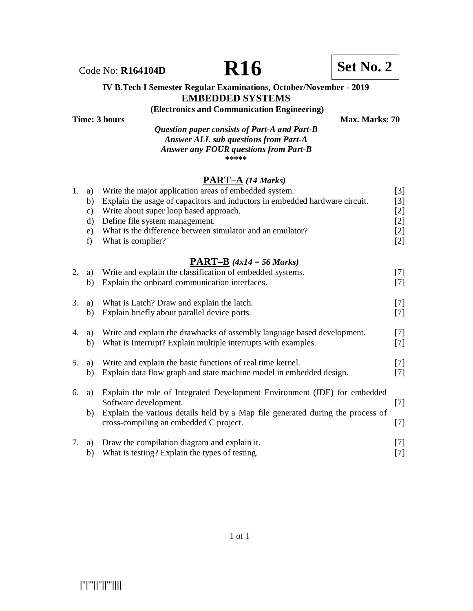#### **IV B.Tech I Semester Regular Examinations, October/November - 2019 EMBEDDED SYSTEMS**

**(Electronics and Communication Engineering)**

**Time: 3 hours** Max. Marks: 70

*Question paper consists of Part-A and Part-B Answer ALL sub questions from Part-A Answer any FOUR questions from Part-B* **\*\*\*\*\***

### **PART–A** *(14 Marks)*

| 1. a)           | Write the major application areas of embedded system.                       | [3] |
|-----------------|-----------------------------------------------------------------------------|-----|
| b)              | Explain the usage of capacitors and inductors in embedded hardware circuit. | [3] |
| $\mathcal{C}$ ) | Write about super loop based approach.                                      | [2] |
| d)              | Define file system management.                                              | [2] |
| e)              | What is the difference between simulator and an emulator?                   | [2] |
|                 | What is complier?                                                           | [2] |
|                 |                                                                             |     |

#### **PART–B** *(4x14 = 56 Marks)*

| 2. | a)       | Write and explain the classification of embedded systems.                                                                                                                                                                      | [7]            |
|----|----------|--------------------------------------------------------------------------------------------------------------------------------------------------------------------------------------------------------------------------------|----------------|
|    | b)       | Explain the onboard communication interfaces.                                                                                                                                                                                  | 171            |
| 3. | a)       | What is Latch? Draw and explain the latch.                                                                                                                                                                                     | $[7]$          |
|    | b)       | Explain briefly about parallel device ports.                                                                                                                                                                                   | 17 I           |
| 4. | a)       | Write and explain the drawbacks of assembly language based development.                                                                                                                                                        | $[7]$          |
|    | b)       | What is Interrupt? Explain multiple interrupts with examples.                                                                                                                                                                  | 171            |
| 5. | a)       | Write and explain the basic functions of real time kernel.                                                                                                                                                                     | $[7]$          |
|    | b)       | Explain data flow graph and state machine model in embedded design.                                                                                                                                                            | [7]            |
| 6. | a)<br>b) | Explain the role of Integrated Development Environment (IDE) for embedded<br>Software development.<br>Explain the various details held by a Map file generated during the process of<br>cross-compiling an embedded C project. | $[7]$<br>$[7]$ |
| 7. | a)       | Draw the compilation diagram and explain it.                                                                                                                                                                                   | [7]            |
|    | b)       | What is testing? Explain the types of testing.                                                                                                                                                                                 | [7]            |

1 of 1

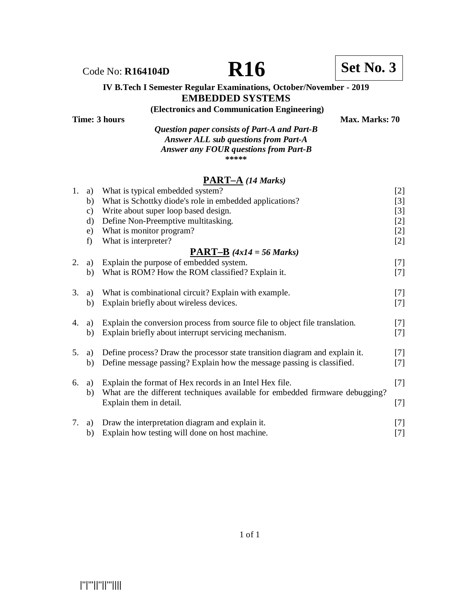#### **IV B.Tech I Semester Regular Examinations, October/November - 2019 EMBEDDED SYSTEMS**

#### **(Electronics and Communication Engineering)**

| Time: 3 hours |                                              | <b>Max. Marks: 70</b> |
|---------------|----------------------------------------------|-----------------------|
|               | Question paper consists of Part-A and Part-B |                       |
|               | <b>Answer ALL sub questions from Part-A</b>  |                       |
|               | Answer any FOUR questions from Part-B        |                       |
|               | *****                                        |                       |

### **PART–A** *(14 Marks)*

| 1. | a)            | What is typical embedded system?                                             | $[2]$ |
|----|---------------|------------------------------------------------------------------------------|-------|
|    | b)            | What is Schottky diode's role in embedded applications?                      | $[3]$ |
|    | $\mathbf{c})$ | Write about super loop based design.                                         | $[3]$ |
|    | $\rm d)$      | Define Non-Preemptive multitasking.                                          | $[2]$ |
|    | e)            | What is monitor program?                                                     | $[2]$ |
|    | f)            | What is interpreter?                                                         | $[2]$ |
|    |               | $\overline{PART-B}$ (4x14 = 56 Marks)                                        |       |
| 2. | a)            | Explain the purpose of embedded system.                                      | $[7]$ |
|    | b)            | What is ROM? How the ROM classified? Explain it.                             | $[7]$ |
| 3. | a)            | What is combinational circuit? Explain with example.                         | $[7]$ |
|    | b)            | Explain briefly about wireless devices.                                      | $[7]$ |
| 4. | a)            | Explain the conversion process from source file to object file translation.  | $[7]$ |
|    | b)            | Explain briefly about interrupt servicing mechanism.                         | $[7]$ |
| 5. | a)            | Define process? Draw the processor state transition diagram and explain it.  | $[7]$ |
|    | b)            | Define message passing? Explain how the message passing is classified.       | $[7]$ |
| 6. | a)            | Explain the format of Hex records in an Intel Hex file.                      | $[7]$ |
|    | b)            | What are the different techniques available for embedded firmware debugging? |       |
|    |               | Explain them in detail.                                                      | $[7]$ |
| 7. | a)            | Draw the interpretation diagram and explain it.                              | $[7]$ |
|    | b)            | Explain how testing will done on host machine.                               | [7]   |
|    |               |                                                                              |       |